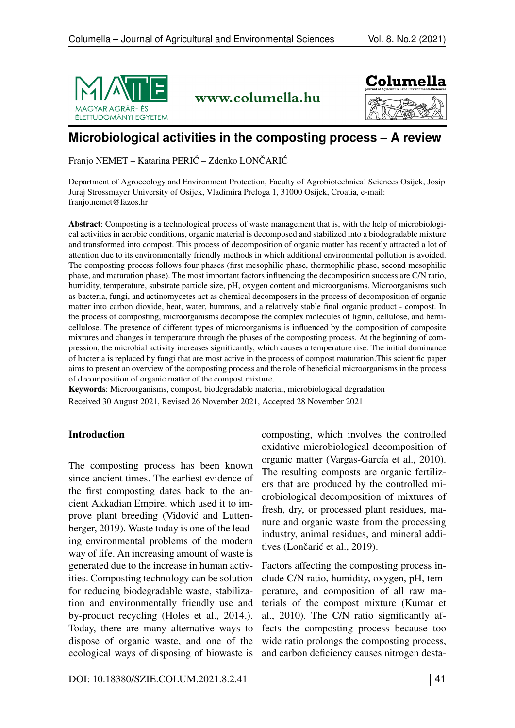

www.columella.hu



# **Microbiological activities in the composting process – A review**

Franjo NEMET – Katarina PERIĆ – Zdenko LONČARIĆ

Department of Agroecology and Environment Protection, Faculty of Agrobiotechnical Sciences Osijek, Josip Juraj Strossmayer University of Osijek, Vladimira Preloga 1, 31000 Osijek, Croatia, e-mail: <franjo.nemet@fazos.hr>

Abstract: Composting is a technological process of waste management that is, with the help of microbiological activities in aerobic conditions, organic material is decomposed and stabilized into a biodegradable mixture and transformed into compost. This process of decomposition of organic matter has recently attracted a lot of attention due to its environmentally friendly methods in which additional environmental pollution is avoided. The composting process follows four phases (first mesophilic phase, thermophilic phase, second mesophilic phase, and maturation phase). The most important factors influencing the decomposition success are C/N ratio, humidity, temperature, substrate particle size, pH, oxygen content and microorganisms. Microorganisms such as bacteria, fungi, and actinomycetes act as chemical decomposers in the process of decomposition of organic matter into carbon dioxide, heat, water, hummus, and a relatively stable final organic product - compost. In the process of composting, microorganisms decompose the complex molecules of lignin, cellulose, and hemicellulose. The presence of different types of microorganisms is influenced by the composition of composite mixtures and changes in temperature through the phases of the composting process. At the beginning of compression, the microbial activity increases significantly, which causes a temperature rise. The initial dominance of bacteria is replaced by fungi that are most active in the process of compost maturation.This scientific paper aims to present an overview of the composting process and the role of beneficial microorganisms in the process of decomposition of organic matter of the compost mixture.

Keywords: Microorganisms, compost, biodegradable material, microbiological degradation Received 30 August 2021, Revised 26 November 2021, Accepted 28 November 2021

### Introduction

The composting process has been known since ancient times. The earliest evidence of the first composting dates back to the ancient Akkadian Empire, which used it to improve plant breeding (Vidović and Luttenberger, 2019). Waste today is one of the leading environmental problems of the modern way of life. An increasing amount of waste is generated due to the increase in human activities. Composting technology can be solution for reducing biodegradable waste, stabilization and environmentally friendly use and by-product recycling (Holes et al., 2014.). Today, there are many alternative ways to dispose of organic waste, and one of the ecological ways of disposing of biowaste is

composting, which involves the controlled oxidative microbiological decomposition of organic matter (Vargas-García et al., 2010). The resulting composts are organic fertilizers that are produced by the controlled microbiological decomposition of mixtures of fresh, dry, or processed plant residues, manure and organic waste from the processing industry, animal residues, and mineral additives (Lončarić et al., 2019).

Factors affecting the composting process include C/N ratio, humidity, oxygen, pH, temperature, and composition of all raw materials of the compost mixture (Kumar et al., 2010). The C/N ratio significantly affects the composting process because too wide ratio prolongs the composting process, and carbon deficiency causes nitrogen desta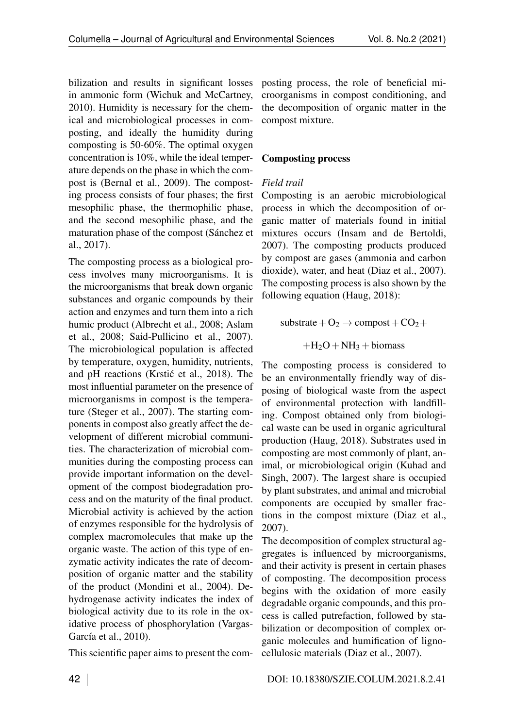bilization and results in significant losses in ammonic form (Wichuk and McCartney, 2010). Humidity is necessary for the chemical and microbiological processes in composting, and ideally the humidity during composting is 50-60%. The optimal oxygen concentration is 10%, while the ideal temperature depends on the phase in which the compost is (Bernal et al., 2009). The composting process consists of four phases; the first mesophilic phase, the thermophilic phase, and the second mesophilic phase, and the maturation phase of the compost (Sánchez et al., 2017).

The composting process as a biological process involves many microorganisms. It is the microorganisms that break down organic substances and organic compounds by their action and enzymes and turn them into a rich humic product (Albrecht et al., 2008; Aslam et al., 2008; Said-Pullicino et al., 2007). The microbiological population is affected by temperature, oxygen, humidity, nutrients, and pH reactions (Krstić et al., 2018). The most influential parameter on the presence of microorganisms in compost is the temperature (Steger et al., 2007). The starting components in compost also greatly affect the development of different microbial communities. The characterization of microbial communities during the composting process can provide important information on the development of the compost biodegradation process and on the maturity of the final product. Microbial activity is achieved by the action of enzymes responsible for the hydrolysis of complex macromolecules that make up the organic waste. The action of this type of enzymatic activity indicates the rate of decomposition of organic matter and the stability of the product (Mondini et al., 2004). Dehydrogenase activity indicates the index of biological activity due to its role in the oxidative process of phosphorylation (Vargas-García et al., 2010).

This scientific paper aims to present the com-

posting process, the role of beneficial microorganisms in compost conditioning, and the decomposition of organic matter in the compost mixture.

### Composting process

### *Field trail*

Composting is an aerobic microbiological process in which the decomposition of organic matter of materials found in initial mixtures occurs (Insam and de Bertoldi, 2007). The composting products produced by compost are gases (ammonia and carbon dioxide), water, and heat (Diaz et al., 2007). The composting process is also shown by the following equation (Haug, 2018):

 $\text{substrate} + \text{O}_2 \rightarrow \text{compact} + \text{CO}_2 +$ 

 $+H<sub>2</sub>O + NH<sub>3</sub> + \text{biomass}$ 

The composting process is considered to be an environmentally friendly way of disposing of biological waste from the aspect of environmental protection with landfilling. Compost obtained only from biological waste can be used in organic agricultural production (Haug, 2018). Substrates used in composting are most commonly of plant, animal, or microbiological origin (Kuhad and Singh, 2007). The largest share is occupied by plant substrates, and animal and microbial components are occupied by smaller fractions in the compost mixture (Diaz et al., 2007).

The decomposition of complex structural aggregates is influenced by microorganisms, and their activity is present in certain phases of composting. The decomposition process begins with the oxidation of more easily degradable organic compounds, and this process is called putrefaction, followed by stabilization or decomposition of complex organic molecules and humification of lignocellulosic materials (Diaz et al., 2007).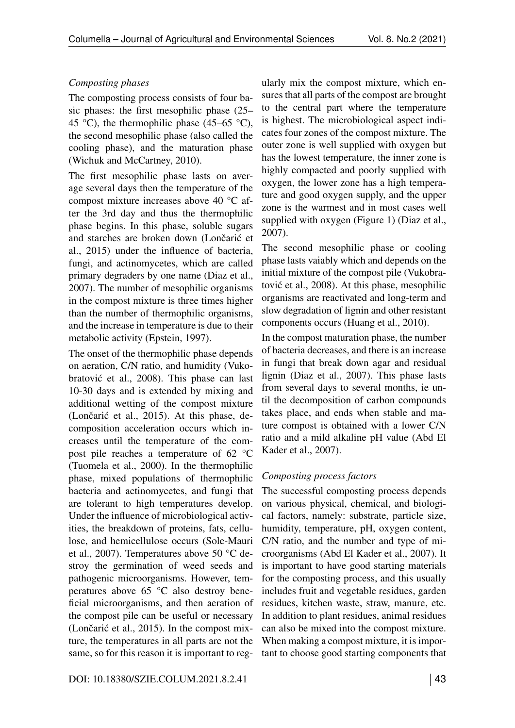### *Composting phases*

The composting process consists of four basic phases: the first mesophilic phase (25– 45 °C), the thermophilic phase (45–65 °C), the second mesophilic phase (also called the cooling phase), and the maturation phase (Wichuk and McCartney, 2010).

The first mesophilic phase lasts on average several days then the temperature of the compost mixture increases above 40 °C after the 3rd day and thus the thermophilic phase begins. In this phase, soluble sugars and starches are broken down (Lončarić et al., 2015) under the influence of bacteria, fungi, and actinomycetes, which are called primary degraders by one name (Diaz et al., 2007). The number of mesophilic organisms in the compost mixture is three times higher than the number of thermophilic organisms, and the increase in temperature is due to their metabolic activity (Epstein, 1997).

The onset of the thermophilic phase depends on aeration, C/N ratio, and humidity (Vukobratović et al., 2008). This phase can last 10-30 days and is extended by mixing and additional wetting of the compost mixture (Lončarić et al., 2015). At this phase, decomposition acceleration occurs which increases until the temperature of the compost pile reaches a temperature of 62 °C (Tuomela et al., 2000). In the thermophilic phase, mixed populations of thermophilic bacteria and actinomycetes, and fungi that are tolerant to high temperatures develop. Under the influence of microbiological activities, the breakdown of proteins, fats, cellulose, and hemicellulose occurs (Sole-Mauri et al., 2007). Temperatures above 50 °C destroy the germination of weed seeds and pathogenic microorganisms. However, temperatures above 65 °C also destroy beneficial microorganisms, and then aeration of the compost pile can be useful or necessary (Lončarić et al., 2015). In the compost mixture, the temperatures in all parts are not the same, so for this reason it is important to reg-

ularly mix the compost mixture, which ensures that all parts of the compost are brought to the central part where the temperature is highest. The microbiological aspect indicates four zones of the compost mixture. The outer zone is well supplied with oxygen but has the lowest temperature, the inner zone is highly compacted and poorly supplied with oxygen, the lower zone has a high temperature and good oxygen supply, and the upper zone is the warmest and in most cases well supplied with oxygen (Figure [1\)](#page-3-0) (Diaz et al., 2007).

The second mesophilic phase or cooling phase lasts vaiably which and depends on the initial mixture of the compost pile (Vukobratovic et al., 2008). At this phase, mesophilic ´ organisms are reactivated and long-term and slow degradation of lignin and other resistant components occurs (Huang et al., 2010).

In the compost maturation phase, the number of bacteria decreases, and there is an increase in fungi that break down agar and residual lignin (Diaz et al., 2007). This phase lasts from several days to several months, ie until the decomposition of carbon compounds takes place, and ends when stable and mature compost is obtained with a lower C/N ratio and a mild alkaline pH value (Abd El Kader et al., 2007).

### *Composting process factors*

The successful composting process depends on various physical, chemical, and biological factors, namely: substrate, particle size, humidity, temperature, pH, oxygen content, C/N ratio, and the number and type of microorganisms (Abd El Kader et al., 2007). It is important to have good starting materials for the composting process, and this usually includes fruit and vegetable residues, garden residues, kitchen waste, straw, manure, etc. In addition to plant residues, animal residues can also be mixed into the compost mixture. When making a compost mixture, it is important to choose good starting components that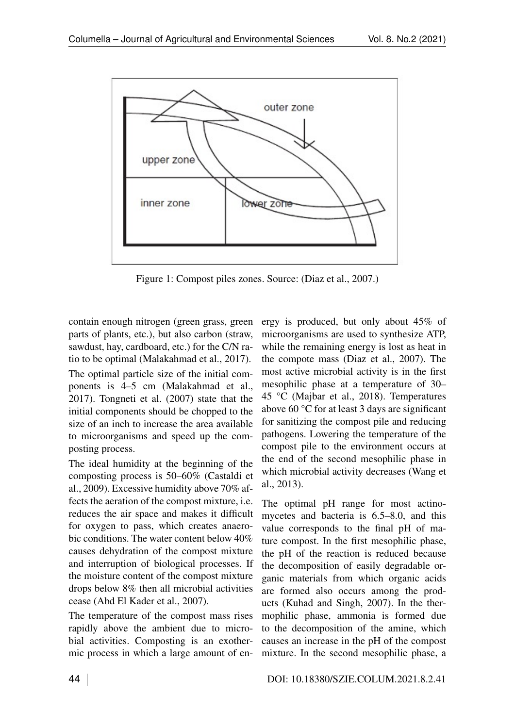<span id="page-3-0"></span>

Figure 1: Compost piles zones. Source: (Diaz et al., 2007.)

contain enough nitrogen (green grass, green parts of plants, etc.), but also carbon (straw, sawdust, hay, cardboard, etc.) for the C/N ratio to be optimal (Malakahmad et al., 2017).

The optimal particle size of the initial components is 4–5 cm (Malakahmad et al., 2017). Tongneti et al. (2007) state that the initial components should be chopped to the size of an inch to increase the area available to microorganisms and speed up the composting process.

The ideal humidity at the beginning of the composting process is 50–60% (Castaldi et al., 2009). Excessive humidity above 70% affects the aeration of the compost mixture, i.e. reduces the air space and makes it difficult for oxygen to pass, which creates anaerobic conditions. The water content below 40% causes dehydration of the compost mixture and interruption of biological processes. If the moisture content of the compost mixture drops below 8% then all microbial activities cease (Abd El Kader et al., 2007).

The temperature of the compost mass rises rapidly above the ambient due to microbial activities. Composting is an exothermic process in which a large amount of en-

ergy is produced, but only about 45% of microorganisms are used to synthesize ATP, while the remaining energy is lost as heat in the compote mass (Diaz et al., 2007). The most active microbial activity is in the first mesophilic phase at a temperature of 30– 45 °C (Majbar et al., 2018). Temperatures above 60 °C for at least 3 days are significant for sanitizing the compost pile and reducing pathogens. Lowering the temperature of the compost pile to the environment occurs at the end of the second mesophilic phase in which microbial activity decreases (Wang et al., 2013).

The optimal pH range for most actinomycetes and bacteria is 6.5–8.0, and this value corresponds to the final pH of mature compost. In the first mesophilic phase, the pH of the reaction is reduced because the decomposition of easily degradable organic materials from which organic acids are formed also occurs among the products (Kuhad and Singh, 2007). In the thermophilic phase, ammonia is formed due to the decomposition of the amine, which causes an increase in the pH of the compost mixture. In the second mesophilic phase, a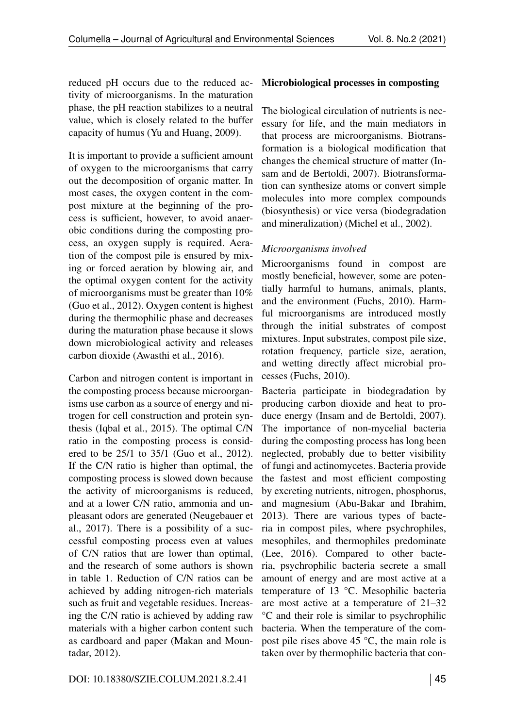reduced pH occurs due to the reduced activity of microorganisms. In the maturation phase, the pH reaction stabilizes to a neutral value, which is closely related to the buffer capacity of humus (Yu and Huang, 2009).

It is important to provide a sufficient amount of oxygen to the microorganisms that carry out the decomposition of organic matter. In most cases, the oxygen content in the compost mixture at the beginning of the process is sufficient, however, to avoid anaerobic conditions during the composting process, an oxygen supply is required. Aeration of the compost pile is ensured by mixing or forced aeration by blowing air, and the optimal oxygen content for the activity of microorganisms must be greater than 10% (Guo et al., 2012). Oxygen content is highest during the thermophilic phase and decreases during the maturation phase because it slows down microbiological activity and releases carbon dioxide (Awasthi et al., 2016).

Carbon and nitrogen content is important in the composting process because microorganisms use carbon as a source of energy and nitrogen for cell construction and protein synthesis (Iqbal et al., 2015). The optimal C/N ratio in the composting process is considered to be 25/1 to 35/1 (Guo et al., 2012). If the C/N ratio is higher than optimal, the composting process is slowed down because the activity of microorganisms is reduced, and at a lower C/N ratio, ammonia and unpleasant odors are generated (Neugebauer et al., 2017). There is a possibility of a successful composting process even at values of C/N ratios that are lower than optimal, and the research of some authors is shown in table [1.](#page-5-0) Reduction of C/N ratios can be achieved by adding nitrogen-rich materials such as fruit and vegetable residues. Increasing the C/N ratio is achieved by adding raw materials with a higher carbon content such as cardboard and paper (Makan and Mountadar, 2012).

## Microbiological processes in composting

The biological circulation of nutrients is necessary for life, and the main mediators in that process are microorganisms. Biotransformation is a biological modification that changes the chemical structure of matter (Insam and de Bertoldi, 2007). Biotransformation can synthesize atoms or convert simple molecules into more complex compounds (biosynthesis) or vice versa (biodegradation and mineralization) (Michel et al., 2002).

# *Microorganisms involved*

Microorganisms found in compost are mostly beneficial, however, some are potentially harmful to humans, animals, plants, and the environment (Fuchs, 2010). Harmful microorganisms are introduced mostly through the initial substrates of compost mixtures. Input substrates, compost pile size, rotation frequency, particle size, aeration, and wetting directly affect microbial processes (Fuchs, 2010).

Bacteria participate in biodegradation by producing carbon dioxide and heat to produce energy (Insam and de Bertoldi, 2007). The importance of non-mycelial bacteria during the composting process has long been neglected, probably due to better visibility of fungi and actinomycetes. Bacteria provide the fastest and most efficient composting by excreting nutrients, nitrogen, phosphorus, and magnesium (Abu-Bakar and Ibrahim, 2013). There are various types of bacteria in compost piles, where psychrophiles, mesophiles, and thermophiles predominate (Lee, 2016). Compared to other bacteria, psychrophilic bacteria secrete a small amount of energy and are most active at a temperature of 13 °C. Mesophilic bacteria are most active at a temperature of 21–32 °C and their role is similar to psychrophilic bacteria. When the temperature of the compost pile rises above 45 °C, the main role is taken over by thermophilic bacteria that con-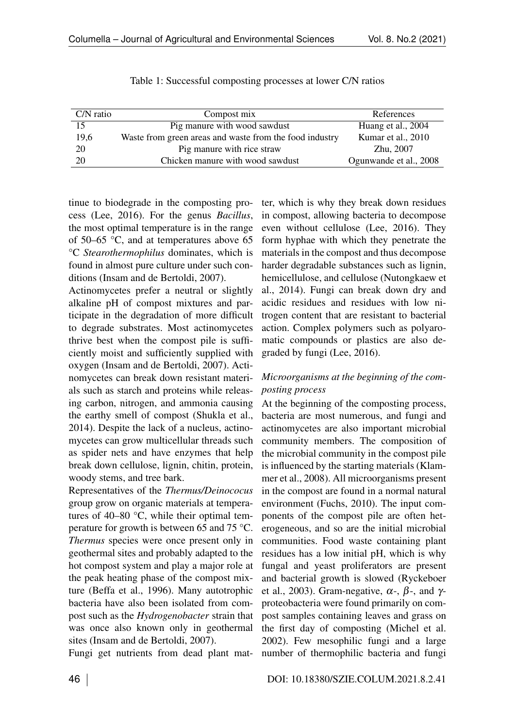<span id="page-5-0"></span>

| $C/N$ ratio | Compost mix                                             | References             |
|-------------|---------------------------------------------------------|------------------------|
| 15          | Pig manure with wood sawdust                            | Huang et al., 2004     |
| 19,6        | Waste from green areas and waste from the food industry | Kumar et al., 2010     |
| 20          | Pig manure with rice straw                              | Zhu, 2007              |
| 20          | Chicken manure with wood sawdust                        | Ogunwande et al., 2008 |

| Table 1: Successful composting processes at lower C/N ratios |  |
|--------------------------------------------------------------|--|
|--------------------------------------------------------------|--|

tinue to biodegrade in the composting process (Lee, 2016). For the genus *Bacillus*, the most optimal temperature is in the range of 50–65 °C, and at temperatures above 65 °C *Stearothermophilus* dominates, which is found in almost pure culture under such conditions (Insam and de Bertoldi, 2007).

Actinomycetes prefer a neutral or slightly alkaline pH of compost mixtures and participate in the degradation of more difficult to degrade substrates. Most actinomycetes thrive best when the compost pile is sufficiently moist and sufficiently supplied with oxygen (Insam and de Bertoldi, 2007). Actinomycetes can break down resistant materials such as starch and proteins while releasing carbon, nitrogen, and ammonia causing the earthy smell of compost (Shukla et al., 2014). Despite the lack of a nucleus, actinomycetes can grow multicellular threads such as spider nets and have enzymes that help break down cellulose, lignin, chitin, protein, woody stems, and tree bark.

Representatives of the *Thermus/Deinococus* group grow on organic materials at temperatures of 40–80 °C, while their optimal temperature for growth is between 65 and 75 °C. *Thermus* species were once present only in geothermal sites and probably adapted to the hot compost system and play a major role at the peak heating phase of the compost mixture (Beffa et al., 1996). Many autotrophic bacteria have also been isolated from compost such as the *Hydrogenobacter* strain that was once also known only in geothermal sites (Insam and de Bertoldi, 2007).

Fungi get nutrients from dead plant mat-

ter, which is why they break down residues in compost, allowing bacteria to decompose even without cellulose (Lee, 2016). They form hyphae with which they penetrate the materials in the compost and thus decompose harder degradable substances such as lignin, hemicellulose, and cellulose (Nutongkaew et al., 2014). Fungi can break down dry and acidic residues and residues with low nitrogen content that are resistant to bacterial action. Complex polymers such as polyaromatic compounds or plastics are also degraded by fungi (Lee, 2016).

# *Microorganisms at the beginning of the composting process*

At the beginning of the composting process, bacteria are most numerous, and fungi and actinomycetes are also important microbial community members. The composition of the microbial community in the compost pile is influenced by the starting materials (Klammer et al., 2008). All microorganisms present in the compost are found in a normal natural environment (Fuchs, 2010). The input components of the compost pile are often heterogeneous, and so are the initial microbial communities. Food waste containing plant residues has a low initial pH, which is why fungal and yeast proliferators are present and bacterial growth is slowed (Ryckeboer et al., 2003). Gram-negative,  $\alpha$ -,  $\beta$ -, and  $\gamma$ proteobacteria were found primarily on compost samples containing leaves and grass on the first day of composting (Michel et al. 2002). Few mesophilic fungi and a large number of thermophilic bacteria and fungi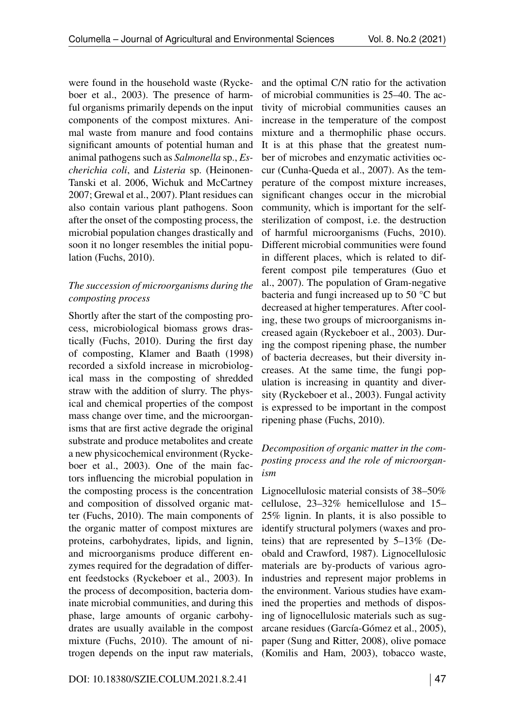were found in the household waste (Ryckeboer et al., 2003). The presence of harmful organisms primarily depends on the input components of the compost mixtures. Animal waste from manure and food contains significant amounts of potential human and animal pathogens such as *Salmonella* sp., *Escherichia coli*, and *Listeria* sp. (Heinonen-Tanski et al. 2006, Wichuk and McCartney 2007; Grewal et al., 2007). Plant residues can also contain various plant pathogens. Soon after the onset of the composting process, the microbial population changes drastically and soon it no longer resembles the initial population (Fuchs, 2010).

## *The succession of microorganisms during the composting process*

Shortly after the start of the composting process, microbiological biomass grows drastically (Fuchs, 2010). During the first day of composting, Klamer and Baath (1998) recorded a sixfold increase in microbiological mass in the composting of shredded straw with the addition of slurry. The physical and chemical properties of the compost mass change over time, and the microorganisms that are first active degrade the original substrate and produce metabolites and create a new physicochemical environment (Ryckeboer et al., 2003). One of the main factors influencing the microbial population in the composting process is the concentration and composition of dissolved organic matter (Fuchs, 2010). The main components of the organic matter of compost mixtures are proteins, carbohydrates, lipids, and lignin, and microorganisms produce different enzymes required for the degradation of different feedstocks (Ryckeboer et al., 2003). In the process of decomposition, bacteria dominate microbial communities, and during this phase, large amounts of organic carbohydrates are usually available in the compost mixture (Fuchs, 2010). The amount of nitrogen depends on the input raw materials,

and the optimal C/N ratio for the activation of microbial communities is 25–40. The activity of microbial communities causes an increase in the temperature of the compost mixture and a thermophilic phase occurs. It is at this phase that the greatest number of microbes and enzymatic activities occur (Cunha-Queda et al., 2007). As the temperature of the compost mixture increases, significant changes occur in the microbial community, which is important for the selfsterilization of compost, i.e. the destruction of harmful microorganisms (Fuchs, 2010). Different microbial communities were found in different places, which is related to different compost pile temperatures (Guo et al., 2007). The population of Gram-negative bacteria and fungi increased up to 50 °C but decreased at higher temperatures. After cooling, these two groups of microorganisms increased again (Ryckeboer et al., 2003). During the compost ripening phase, the number of bacteria decreases, but their diversity increases. At the same time, the fungi population is increasing in quantity and diversity (Ryckeboer et al., 2003). Fungal activity is expressed to be important in the compost ripening phase (Fuchs, 2010).

# *Decomposition of organic matter in the composting process and the role of microorganism*

Lignocellulosic material consists of 38–50% cellulose, 23–32% hemicellulose and 15– 25% lignin. In plants, it is also possible to identify structural polymers (waxes and proteins) that are represented by 5–13% (Deobald and Crawford, 1987). Lignocellulosic materials are by-products of various agroindustries and represent major problems in the environment. Various studies have examined the properties and methods of disposing of lignocellulosic materials such as sugarcane residues (García-Gómez et al., 2005), paper (Sung and Ritter, 2008), olive pomace (Komilis and Ham, 2003), tobacco waste,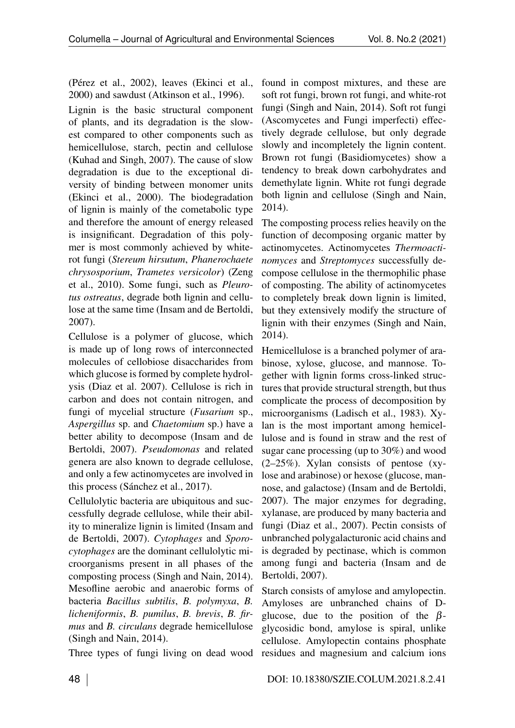(Pérez et al., 2002), leaves (Ekinci et al., 2000) and sawdust (Atkinson et al., 1996).

Lignin is the basic structural component of plants, and its degradation is the slowest compared to other components such as hemicellulose, starch, pectin and cellulose (Kuhad and Singh, 2007). The cause of slow degradation is due to the exceptional diversity of binding between monomer units (Ekinci et al., 2000). The biodegradation of lignin is mainly of the cometabolic type and therefore the amount of energy released is insignificant. Degradation of this polymer is most commonly achieved by whiterot fungi (*Stereum hirsutum*, *Phanerochaete chrysosporium*, *Trametes versicolor*) (Zeng et al., 2010). Some fungi, such as *Pleurotus ostreatus*, degrade both lignin and cellulose at the same time (Insam and de Bertoldi, 2007).

Cellulose is a polymer of glucose, which is made up of long rows of interconnected molecules of cellobiose disaccharides from which glucose is formed by complete hydrolysis (Diaz et al. 2007). Cellulose is rich in carbon and does not contain nitrogen, and fungi of mycelial structure (*Fusarium* sp., *Aspergillus* sp. and *Chaetomium* sp.) have a better ability to decompose (Insam and de Bertoldi, 2007). *Pseudomonas* and related genera are also known to degrade cellulose, and only a few actinomycetes are involved in this process (Sánchez et al., 2017).

Cellulolytic bacteria are ubiquitous and successfully degrade cellulose, while their ability to mineralize lignin is limited (Insam and de Bertoldi, 2007). *Cytophages* and *Sporocytophages* are the dominant cellulolytic microorganisms present in all phases of the composting process (Singh and Nain, 2014). Mesofline aerobic and anaerobic forms of bacteria *Bacillus subtilis*, *B. polymyxa*, *B. licheniformis*, *B. pumilus*, *B. brevis*, *B. firmus* and *B. circulans* degrade hemicellulose (Singh and Nain, 2014).

Three types of fungi living on dead wood residues and magnesium and calcium ions

found in compost mixtures, and these are soft rot fungi, brown rot fungi, and white-rot fungi (Singh and Nain, 2014). Soft rot fungi (Ascomycetes and Fungi imperfecti) effectively degrade cellulose, but only degrade slowly and incompletely the lignin content. Brown rot fungi (Basidiomycetes) show a tendency to break down carbohydrates and demethylate lignin. White rot fungi degrade both lignin and cellulose (Singh and Nain, 2014).

The composting process relies heavily on the function of decomposing organic matter by actinomycetes. Actinomycetes *Thermoactinomyces* and *Streptomyces* successfully decompose cellulose in the thermophilic phase of composting. The ability of actinomycetes to completely break down lignin is limited, but they extensively modify the structure of lignin with their enzymes (Singh and Nain, 2014).

Hemicellulose is a branched polymer of arabinose, xylose, glucose, and mannose. Together with lignin forms cross-linked structures that provide structural strength, but thus complicate the process of decomposition by microorganisms (Ladisch et al., 1983). Xylan is the most important among hemicellulose and is found in straw and the rest of sugar cane processing (up to 30%) and wood (2–25%). Xylan consists of pentose (xylose and arabinose) or hexose (glucose, mannose, and galactose) (Insam and de Bertoldi, 2007). The major enzymes for degrading, xylanase, are produced by many bacteria and fungi (Diaz et al., 2007). Pectin consists of unbranched polygalacturonic acid chains and is degraded by pectinase, which is common among fungi and bacteria (Insam and de Bertoldi, 2007).

Starch consists of amylose and amylopectin. Amyloses are unbranched chains of Dglucose, due to the position of the  $\beta$ glycosidic bond, amylose is spiral, unlike cellulose. Amylopectin contains phosphate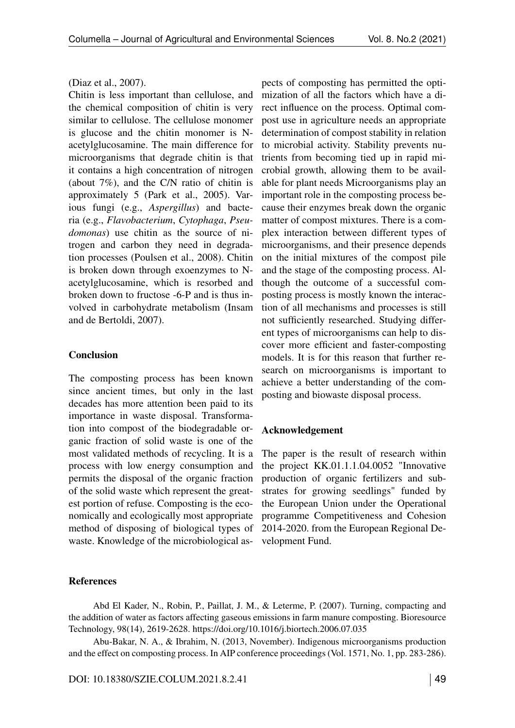### (Diaz et al., 2007).

Chitin is less important than cellulose, and the chemical composition of chitin is very similar to cellulose. The cellulose monomer is glucose and the chitin monomer is Nacetylglucosamine. The main difference for microorganisms that degrade chitin is that it contains a high concentration of nitrogen (about 7%), and the C/N ratio of chitin is approximately 5 (Park et al., 2005). Various fungi (e.g., *Aspergillus*) and bacteria (e.g., *Flavobacterium*, *Cytophaga*, *Pseudomonas*) use chitin as the source of nitrogen and carbon they need in degradation processes (Poulsen et al., 2008). Chitin is broken down through exoenzymes to Nacetylglucosamine, which is resorbed and broken down to fructose -6-P and is thus involved in carbohydrate metabolism (Insam and de Bertoldi, 2007).

### Conclusion

The composting process has been known since ancient times, but only in the last decades has more attention been paid to its importance in waste disposal. Transformation into compost of the biodegradable organic fraction of solid waste is one of the most validated methods of recycling. It is a process with low energy consumption and permits the disposal of the organic fraction of the solid waste which represent the greatest portion of refuse. Composting is the economically and ecologically most appropriate method of disposing of biological types of waste. Knowledge of the microbiological as-

### References

pects of composting has permitted the optimization of all the factors which have a direct influence on the process. Optimal compost use in agriculture needs an appropriate determination of compost stability in relation to microbial activity. Stability prevents nutrients from becoming tied up in rapid microbial growth, allowing them to be available for plant needs Microorganisms play an important role in the composting process because their enzymes break down the organic matter of compost mixtures. There is a complex interaction between different types of microorganisms, and their presence depends on the initial mixtures of the compost pile and the stage of the composting process. Although the outcome of a successful composting process is mostly known the interaction of all mechanisms and processes is still not sufficiently researched. Studying different types of microorganisms can help to discover more efficient and faster-composting models. It is for this reason that further research on microorganisms is important to achieve a better understanding of the composting and biowaste disposal process.

### Acknowledgement

The paper is the result of research within the project KK.01.1.1.04.0052 "Innovative production of organic fertilizers and substrates for growing seedlings" funded by the European Union under the Operational programme Competitiveness and Cohesion 2014-2020. from the European Regional Development Fund.

Abd El Kader, N., Robin, P., Paillat, J. M., & Leterme, P. (2007). Turning, compacting and the addition of water as factors affecting gaseous emissions in farm manure composting. Bioresource Technology, 98(14), 2619-2628.<https://doi.org/10.1016/j.biortech.2006.07.035>

Abu-Bakar, N. A., & Ibrahim, N. (2013, November). Indigenous microorganisms production and the effect on composting process. In AIP conference proceedings (Vol. 1571, No. 1, pp. 283-286).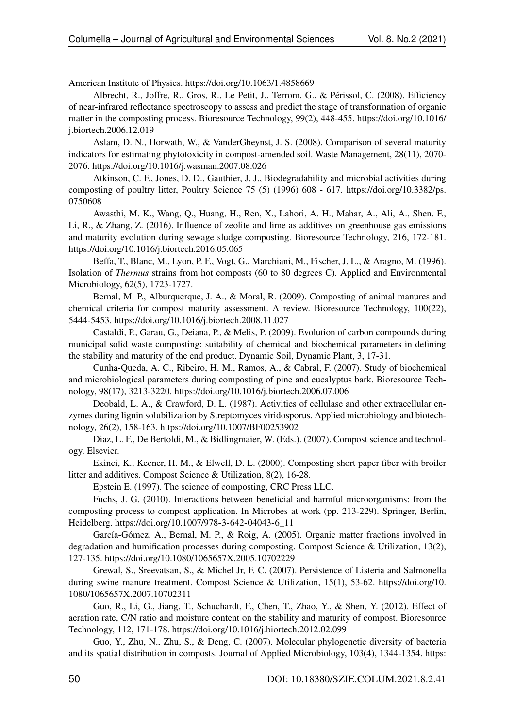American Institute of Physics.<https://doi.org/10.1063/1.4858669>

Albrecht, R., Joffre, R., Gros, R., Le Petit, J., Terrom, G., & Périssol, C. (2008). Efficiency of near-infrared reflectance spectroscopy to assess and predict the stage of transformation of organic matter in the composting process. Bioresource Technology, 99(2), 448-455. [https://doi.org/10.1016/](https://doi.org/10.1016/j.biortech.2006.12.019) [j.biortech.2006.12.019](https://doi.org/10.1016/j.biortech.2006.12.019)

Aslam, D. N., Horwath, W., & VanderGheynst, J. S. (2008). Comparison of several maturity indicators for estimating phytotoxicity in compost-amended soil. Waste Management, 28(11), 2070- 2076.<https://doi.org/10.1016/j.wasman.2007.08.026>

Atkinson, C. F., Jones, D. D., Gauthier, J. J., Biodegradability and microbial activities during composting of poultry litter, Poultry Science 75 (5) (1996) 608 - 617. [https://doi.org/10.3382/ps.](https://doi.org/10.3382/ps.0750608) [0750608](https://doi.org/10.3382/ps.0750608)

Awasthi, M. K., Wang, Q., Huang, H., Ren, X., Lahori, A. H., Mahar, A., Ali, A., Shen. F., Li, R., & Zhang, Z. (2016). Influence of zeolite and lime as additives on greenhouse gas emissions and maturity evolution during sewage sludge composting. Bioresource Technology, 216, 172-181. <https://doi.org/10.1016/j.biortech.2016.05.065>

Beffa, T., Blanc, M., Lyon, P. F., Vogt, G., Marchiani, M., Fischer, J. L., & Aragno, M. (1996). Isolation of *Thermus* strains from hot composts (60 to 80 degrees C). Applied and Environmental Microbiology, 62(5), 1723-1727.

Bernal, M. P., Alburquerque, J. A., & Moral, R. (2009). Composting of animal manures and chemical criteria for compost maturity assessment. A review. Bioresource Technology, 100(22), 5444-5453.<https://doi.org/10.1016/j.biortech.2008.11.027>

Castaldi, P., Garau, G., Deiana, P., & Melis, P. (2009). Evolution of carbon compounds during municipal solid waste composting: suitability of chemical and biochemical parameters in defining the stability and maturity of the end product. Dynamic Soil, Dynamic Plant, 3, 17-31.

Cunha-Queda, A. C., Ribeiro, H. M., Ramos, A., & Cabral, F. (2007). Study of biochemical and microbiological parameters during composting of pine and eucalyptus bark. Bioresource Technology, 98(17), 3213-3220.<https://doi.org/10.1016/j.biortech.2006.07.006>

Deobald, L. A., & Crawford, D. L. (1987). Activities of cellulase and other extracellular enzymes during lignin solubilization by Streptomyces viridosporus. Applied microbiology and biotechnology, 26(2), 158-163.<https://doi.org/10.1007/BF00253902>

Diaz, L. F., De Bertoldi, M., & Bidlingmaier, W. (Eds.). (2007). Compost science and technology. Elsevier.

Ekinci, K., Keener, H. M., & Elwell, D. L. (2000). Composting short paper fiber with broiler litter and additives. Compost Science & Utilization, 8(2), 16-28.

Epstein E. (1997). The science of composting, CRC Press LLC.

Fuchs, J. G. (2010). Interactions between beneficial and harmful microorganisms: from the composting process to compost application. In Microbes at work (pp. 213-229). Springer, Berlin, Heidelberg. [https://doi.org/10.1007/978-3-642-04043-6\\_11](https://doi.org/10.1007/978-3-642-04043-6_11)

García-Gómez, A., Bernal, M. P., & Roig, A. (2005). Organic matter fractions involved in degradation and humification processes during composting. Compost Science & Utilization, 13(2), 127-135.<https://doi.org/10.1080/1065657X.2005.10702229>

Grewal, S., Sreevatsan, S., & Michel Jr, F. C. (2007). Persistence of Listeria and Salmonella during swine manure treatment. Compost Science & Utilization, 15(1), 53-62. [https://doi.org/10.](https://doi.org/10.1080/1065657X.2007.10702311) [1080/1065657X.2007.10702311](https://doi.org/10.1080/1065657X.2007.10702311)

Guo, R., Li, G., Jiang, T., Schuchardt, F., Chen, T., Zhao, Y., & Shen, Y. (2012). Effect of aeration rate, C/N ratio and moisture content on the stability and maturity of compost. Bioresource Technology, 112, 171-178.<https://doi.org/10.1016/j.biortech.2012.02.099>

Guo, Y., Zhu, N., Zhu, S., & Deng, C. (2007). Molecular phylogenetic diversity of bacteria and its spatial distribution in composts. Journal of Applied Microbiology, 103(4), 1344-1354. [https:](https://doi.org/10.1111/j.1365-2672.2007.03367.x)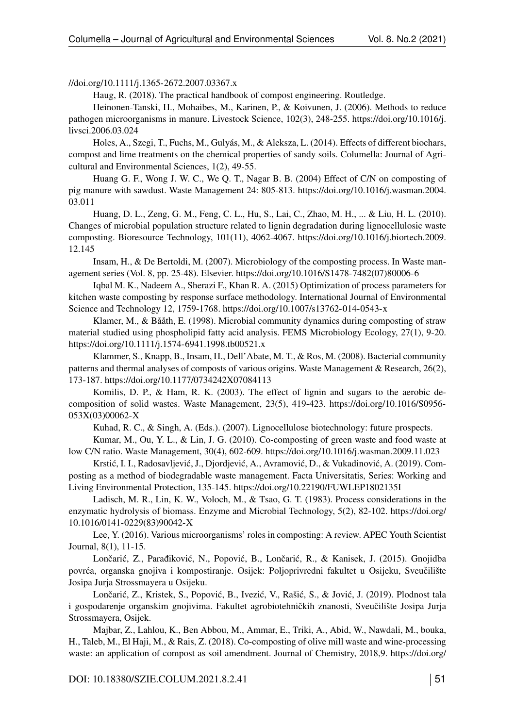[//doi.org/10.1111/j.1365-2672.2007.03367.x](https://doi.org/10.1111/j.1365-2672.2007.03367.x)

Haug, R. (2018). The practical handbook of compost engineering. Routledge.

Heinonen-Tanski, H., Mohaibes, M., Karinen, P., & Koivunen, J. (2006). Methods to reduce pathogen microorganisms in manure. Livestock Science, 102(3), 248-255. [https://doi.org/10.1016/j.](https://doi.org/10.1016/j.livsci.2006.03.024) [livsci.2006.03.024](https://doi.org/10.1016/j.livsci.2006.03.024)

Holes, A., Szegi, T., Fuchs, M., Gulyás, M., & Aleksza, L. (2014). Effects of different biochars, compost and lime treatments on the chemical properties of sandy soils. Columella: Journal of Agricultural and Environmental Sciences, 1(2), 49-55.

Huang G. F., Wong J. W. C., We Q. T., Nagar B. B. (2004) Effect of C/N on composting of pig manure with sawdust. Waste Management 24: 805-813. [https://doi.org/10.1016/j.wasman.2004.](https://doi.org/10.1016/j.wasman.2004.03.011) [03.011](https://doi.org/10.1016/j.wasman.2004.03.011)

Huang, D. L., Zeng, G. M., Feng, C. L., Hu, S., Lai, C., Zhao, M. H., ... & Liu, H. L. (2010). Changes of microbial population structure related to lignin degradation during lignocellulosic waste composting. Bioresource Technology, 101(11), 4062-4067. [https://doi.org/10.1016/j.biortech.2009.](https://doi.org/10.1016/j.biortech.2009.12.145) [12.145](https://doi.org/10.1016/j.biortech.2009.12.145)

Insam, H., & De Bertoldi, M. (2007). Microbiology of the composting process. In Waste management series (Vol. 8, pp. 25-48). Elsevier. [https://doi.org/10.1016/S1478-7482\(07\)80006-6](https://doi.org/10.1016/S1478-7482(07)80006-6%20)

Iqbal M. K., Nadeem A., Sherazi F., Khan R. A. (2015) Optimization of process parameters for kitchen waste composting by response surface methodology. International Journal of Environmental Science and Technology 12, 1759-1768.<https://doi.org/10.1007/s13762-014-0543-x>

Klamer, M., & Bååth, E. (1998). Microbial community dynamics during composting of straw material studied using phospholipid fatty acid analysis. FEMS Microbiology Ecology, 27(1), 9-20. <https://doi.org/10.1111/j.1574-6941.1998.tb00521.x>

Klammer, S., Knapp, B., Insam, H., Dell'Abate, M. T., & Ros, M. (2008). Bacterial community patterns and thermal analyses of composts of various origins. Waste Management & Research, 26(2), 173-187.<https://doi.org/10.1177/0734242X07084113>

Komilis, D. P., & Ham, R. K. (2003). The effect of lignin and sugars to the aerobic decomposition of solid wastes. Waste Management, 23(5), 419-423. [https://doi.org/10.1016/S0956-](https://doi.org/10.1016/S0956-053X(03)00062-X) [053X\(03\)00062-X](https://doi.org/10.1016/S0956-053X(03)00062-X)

Kuhad, R. C., & Singh, A. (Eds.). (2007). Lignocellulose biotechnology: future prospects.

Kumar, M., Ou, Y. L., & Lin, J. G. (2010). Co-composting of green waste and food waste at low C/N ratio. Waste Management, 30(4), 602-609.<https://doi.org/10.1016/j.wasman.2009.11.023>

Krstić, I. I., Radosavljević, J., Djordjević, A., Avramović, D., & Vukadinović, A. (2019). Composting as a method of biodegradable waste management. Facta Universitatis, Series: Working and Living Environmental Protection, 135-145.<https://doi.org/10.22190/FUWLEP1802135I>

Ladisch, M. R., Lin, K. W., Voloch, M., & Tsao, G. T. (1983). Process considerations in the enzymatic hydrolysis of biomass. Enzyme and Microbial Technology, 5(2), 82-102. [https://doi.org/](https://doi.org/10.1016/0141-0229(83)90042-X) [10.1016/0141-0229\(83\)90042-X](https://doi.org/10.1016/0141-0229(83)90042-X)

Lee, Y. (2016). Various microorganisms' roles in composting: A review. APEC Youth Scientist Journal, 8(1), 11-15.

Lončarić, Z., Parađiković, N., Popović, B., Lončarić, R., & Kanisek, J. (2015). Gnojidba povrća, organska gnojiva i kompostiranje. Osijek: Poljoprivredni fakultet u Osijeku, Sveučilište Josipa Jurja Strossmayera u Osijeku.

Lončarić, Z., Kristek, S., Popović, B., Ivezić, V., Rašić, S., & Jović, J. (2019). Plodnost tala i gospodarenje organskim gnojivima. Fakultet agrobiotehničkih znanosti, Sveučilište Josipa Jurja Strossmayera, Osijek.

Majbar, Z., Lahlou, K., Ben Abbou, M., Ammar, E., Triki, A., Abid, W., Nawdali, M., bouka, H., Taleb, M., El Haji, M., & Rais, Z. (2018). Co-composting of olive mill waste and wine-processing waste: an application of compost as soil amendment. Journal of Chemistry, 2018,9. [https://doi.org/](https://doi.org/10.1155/2018/7918583)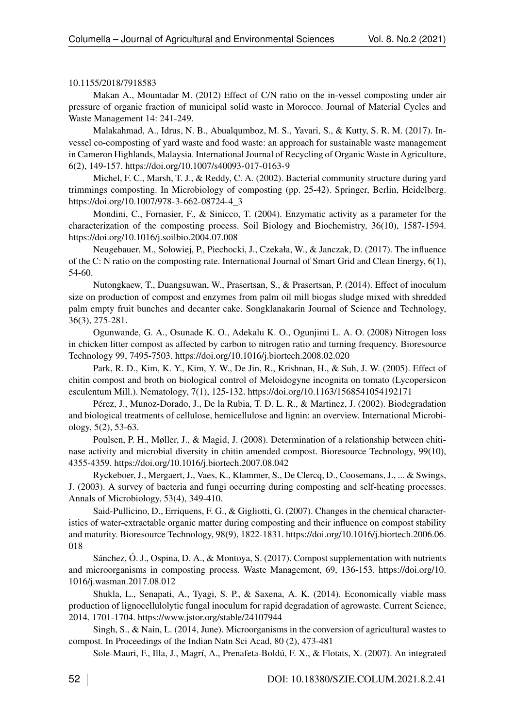#### [10.1155/2018/7918583](https://doi.org/10.1155/2018/7918583)

Makan A., Mountadar M. (2012) Effect of C/N ratio on the in-vessel composting under air pressure of organic fraction of municipal solid waste in Morocco. Journal of Material Cycles and Waste Management 14: 241-249.

Malakahmad, A., Idrus, N. B., Abualqumboz, M. S., Yavari, S., & Kutty, S. R. M. (2017). Invessel co-composting of yard waste and food waste: an approach for sustainable waste management in Cameron Highlands, Malaysia. International Journal of Recycling of Organic Waste in Agriculture, 6(2), 149-157.<https://doi.org/10.1007/s40093-017-0163-9>

Michel, F. C., Marsh, T. J., & Reddy, C. A. (2002). Bacterial community structure during yard trimmings composting. In Microbiology of composting (pp. 25-42). Springer, Berlin, Heidelberg. [https://doi.org/10.1007/978-3-662-08724-4\\_3](https://doi.org/10.1007/978-3-662-08724-4_3)

Mondini, C., Fornasier, F., & Sinicco, T. (2004). Enzymatic activity as a parameter for the characterization of the composting process. Soil Biology and Biochemistry, 36(10), 1587-1594. <https://doi.org/10.1016/j.soilbio.2004.07.008>

Neugebauer, M., Sołowiej, P., Piechocki, J., Czekała, W., & Janczak, D. (2017). The influence of the C: N ratio on the composting rate. International Journal of Smart Grid and Clean Energy, 6(1), 54-60.

Nutongkaew, T., Duangsuwan, W., Prasertsan, S., & Prasertsan, P. (2014). Effect of inoculum size on production of compost and enzymes from palm oil mill biogas sludge mixed with shredded palm empty fruit bunches and decanter cake. Songklanakarin Journal of Science and Technology, 36(3), 275-281.

Ogunwande, G. A., Osunade K. O., Adekalu K. O., Ogunjimi L. A. O. (2008) Nitrogen loss in chicken litter compost as affected by carbon to nitrogen ratio and turning frequency. Bioresource Technology 99, 7495-7503.<https://doi.org/10.1016/j.biortech.2008.02.020>

Park, R. D., Kim, K. Y., Kim, Y. W., De Jin, R., Krishnan, H., & Suh, J. W. (2005). Effect of chitin compost and broth on biological control of Meloidogyne incognita on tomato (Lycopersicon esculentum Mill.). Nematology, 7(1), 125-132.<https://doi.org/10.1163/1568541054192171>

Pérez, J., Munoz-Dorado, J., De la Rubia, T. D. L. R., & Martinez, J. (2002). Biodegradation and biological treatments of cellulose, hemicellulose and lignin: an overview. International Microbiology, 5(2), 53-63.

Poulsen, P. H., Møller, J., & Magid, J. (2008). Determination of a relationship between chitinase activity and microbial diversity in chitin amended compost. Bioresource Technology, 99(10), 4355-4359.<https://doi.org/10.1016/j.biortech.2007.08.042>

Ryckeboer, J., Mergaert, J., Vaes, K., Klammer, S., De Clercq, D., Coosemans, J., ... & Swings, J. (2003). A survey of bacteria and fungi occurring during composting and self-heating processes. Annals of Microbiology, 53(4), 349-410.

Said-Pullicino, D., Erriquens, F. G., & Gigliotti, G. (2007). Changes in the chemical characteristics of water-extractable organic matter during composting and their influence on compost stability and maturity. Bioresource Technology, 98(9), 1822-1831. [https://doi.org/10.1016/j.biortech.2006.06.](https://doi.org/10.1016/j.biortech.2006.06.018) [018](https://doi.org/10.1016/j.biortech.2006.06.018)

Sánchez, Ó. J., Ospina, D. A., & Montoya, S. (2017). Compost supplementation with nutrients and microorganisms in composting process. Waste Management, 69, 136-153. [https://doi.org/10.](https://doi.org/10.1016/j.wasman.2017.08.012) [1016/j.wasman.2017.08.012](https://doi.org/10.1016/j.wasman.2017.08.012)

Shukla, L., Senapati, A., Tyagi, S. P., & Saxena, A. K. (2014). Economically viable mass production of lignocellulolytic fungal inoculum for rapid degradation of agrowaste. Current Science, 2014, 1701-1704.<https://www.jstor.org/stable/24107944>

Singh, S., & Nain, L. (2014, June). Microorganisms in the conversion of agricultural wastes to compost. In Proceedings of the Indian Natn Sci Acad, 80 (2), 473-481

Sole-Mauri, F., Illa, J., Magrí, A., Prenafeta-Boldú, F. X., & Flotats, X. (2007). An integrated